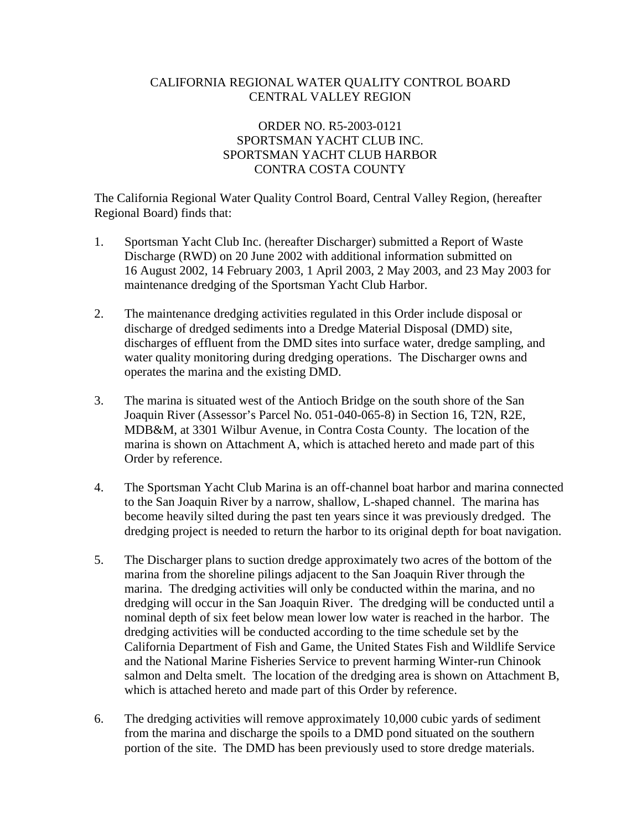# CALIFORNIA REGIONAL WATER QUALITY CONTROL BOARD CENTRAL VALLEY REGION

# ORDER NO. R5-2003-0121 SPORTSMAN YACHT CLUB INC. SPORTSMAN YACHT CLUB HARBOR CONTRA COSTA COUNTY

The California Regional Water Quality Control Board, Central Valley Region, (hereafter Regional Board) finds that:

- 1. Sportsman Yacht Club Inc. (hereafter Discharger) submitted a Report of Waste Discharge (RWD) on 20 June 2002 with additional information submitted on 16 August 2002, 14 February 2003, 1 April 2003, 2 May 2003, and 23 May 2003 for maintenance dredging of the Sportsman Yacht Club Harbor.
- 2. The maintenance dredging activities regulated in this Order include disposal or discharge of dredged sediments into a Dredge Material Disposal (DMD) site, discharges of effluent from the DMD sites into surface water, dredge sampling, and water quality monitoring during dredging operations. The Discharger owns and operates the marina and the existing DMD.
- 3. The marina is situated west of the Antioch Bridge on the south shore of the San Joaquin River (Assessor's Parcel No. 051-040-065-8) in Section 16, T2N, R2E, MDB&M, at 3301 Wilbur Avenue, in Contra Costa County. The location of the marina is shown on Attachment A, which is attached hereto and made part of this Order by reference.
- 4. The Sportsman Yacht Club Marina is an off-channel boat harbor and marina connected to the San Joaquin River by a narrow, shallow, L-shaped channel. The marina has become heavily silted during the past ten years since it was previously dredged. The dredging project is needed to return the harbor to its original depth for boat navigation.
- 5. The Discharger plans to suction dredge approximately two acres of the bottom of the marina from the shoreline pilings adjacent to the San Joaquin River through the marina. The dredging activities will only be conducted within the marina, and no dredging will occur in the San Joaquin River. The dredging will be conducted until a nominal depth of six feet below mean lower low water is reached in the harbor. The dredging activities will be conducted according to the time schedule set by the California Department of Fish and Game, the United States Fish and Wildlife Service and the National Marine Fisheries Service to prevent harming Winter-run Chinook salmon and Delta smelt. The location of the dredging area is shown on Attachment B, which is attached hereto and made part of this Order by reference.
- 6. The dredging activities will remove approximately 10,000 cubic yards of sediment from the marina and discharge the spoils to a DMD pond situated on the southern portion of the site. The DMD has been previously used to store dredge materials.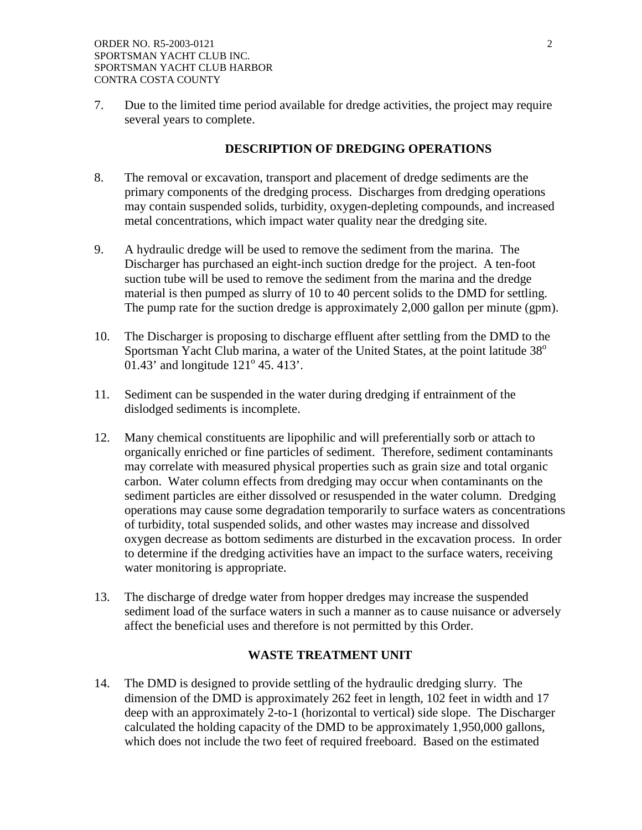7. Due to the limited time period available for dredge activities, the project may require several years to complete.

## **DESCRIPTION OF DREDGING OPERATIONS**

- 8. The removal or excavation, transport and placement of dredge sediments are the primary components of the dredging process. Discharges from dredging operations may contain suspended solids, turbidity, oxygen-depleting compounds, and increased metal concentrations, which impact water quality near the dredging site.
- 9. A hydraulic dredge will be used to remove the sediment from the marina. The Discharger has purchased an eight-inch suction dredge for the project. A ten-foot suction tube will be used to remove the sediment from the marina and the dredge material is then pumped as slurry of 10 to 40 percent solids to the DMD for settling. The pump rate for the suction dredge is approximately 2,000 gallon per minute (gpm).
- 10. The Discharger is proposing to discharge effluent after settling from the DMD to the Sportsman Yacht Club marina, a water of the United States, at the point latitude  $38^\circ$  $01.43'$  and longitude  $121^{\circ}$  45. 413'.
- 11. Sediment can be suspended in the water during dredging if entrainment of the dislodged sediments is incomplete.
- 12. Many chemical constituents are lipophilic and will preferentially sorb or attach to organically enriched or fine particles of sediment. Therefore, sediment contaminants may correlate with measured physical properties such as grain size and total organic carbon. Water column effects from dredging may occur when contaminants on the sediment particles are either dissolved or resuspended in the water column. Dredging operations may cause some degradation temporarily to surface waters as concentrations of turbidity, total suspended solids, and other wastes may increase and dissolved oxygen decrease as bottom sediments are disturbed in the excavation process. In order to determine if the dredging activities have an impact to the surface waters, receiving water monitoring is appropriate.
- 13. The discharge of dredge water from hopper dredges may increase the suspended sediment load of the surface waters in such a manner as to cause nuisance or adversely affect the beneficial uses and therefore is not permitted by this Order.

## **WASTE TREATMENT UNIT**

14. The DMD is designed to provide settling of the hydraulic dredging slurry. The dimension of the DMD is approximately 262 feet in length, 102 feet in width and 17 deep with an approximately 2-to-1 (horizontal to vertical) side slope. The Discharger calculated the holding capacity of the DMD to be approximately 1,950,000 gallons, which does not include the two feet of required freeboard. Based on the estimated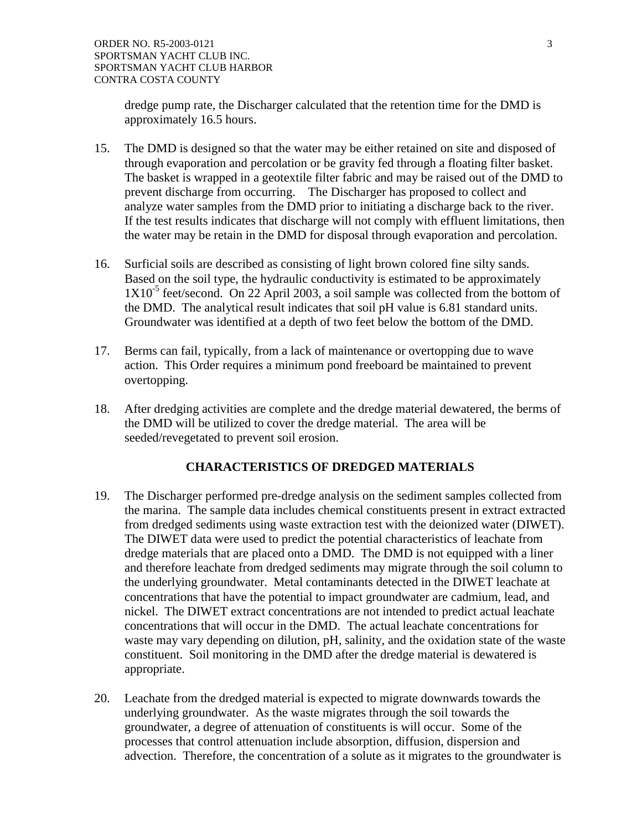dredge pump rate, the Discharger calculated that the retention time for the DMD is approximately 16.5 hours.

- 15. The DMD is designed so that the water may be either retained on site and disposed of through evaporation and percolation or be gravity fed through a floating filter basket. The basket is wrapped in a geotextile filter fabric and may be raised out of the DMD to prevent discharge from occurring. The Discharger has proposed to collect and analyze water samples from the DMD prior to initiating a discharge back to the river. If the test results indicates that discharge will not comply with effluent limitations, then the water may be retain in the DMD for disposal through evaporation and percolation.
- 16. Surficial soils are described as consisting of light brown colored fine silty sands. Based on the soil type, the hydraulic conductivity is estimated to be approximately  $1X10^{-5}$  feet/second. On 22 April 2003, a soil sample was collected from the bottom of the DMD. The analytical result indicates that soil pH value is 6.81 standard units. Groundwater was identified at a depth of two feet below the bottom of the DMD.
- 17. Berms can fail, typically, from a lack of maintenance or overtopping due to wave action. This Order requires a minimum pond freeboard be maintained to prevent overtopping.
- 18. After dredging activities are complete and the dredge material dewatered, the berms of the DMD will be utilized to cover the dredge material. The area will be seeded/revegetated to prevent soil erosion.

# **CHARACTERISTICS OF DREDGED MATERIALS**

- 19. The Discharger performed pre-dredge analysis on the sediment samples collected from the marina. The sample data includes chemical constituents present in extract extracted from dredged sediments using waste extraction test with the deionized water (DIWET). The DIWET data were used to predict the potential characteristics of leachate from dredge materials that are placed onto a DMD. The DMD is not equipped with a liner and therefore leachate from dredged sediments may migrate through the soil column to the underlying groundwater. Metal contaminants detected in the DIWET leachate at concentrations that have the potential to impact groundwater are cadmium, lead, and nickel. The DIWET extract concentrations are not intended to predict actual leachate concentrations that will occur in the DMD. The actual leachate concentrations for waste may vary depending on dilution, pH, salinity, and the oxidation state of the waste constituent. Soil monitoring in the DMD after the dredge material is dewatered is appropriate.
- 20. Leachate from the dredged material is expected to migrate downwards towards the underlying groundwater. As the waste migrates through the soil towards the groundwater, a degree of attenuation of constituents is will occur. Some of the processes that control attenuation include absorption, diffusion, dispersion and advection. Therefore, the concentration of a solute as it migrates to the groundwater is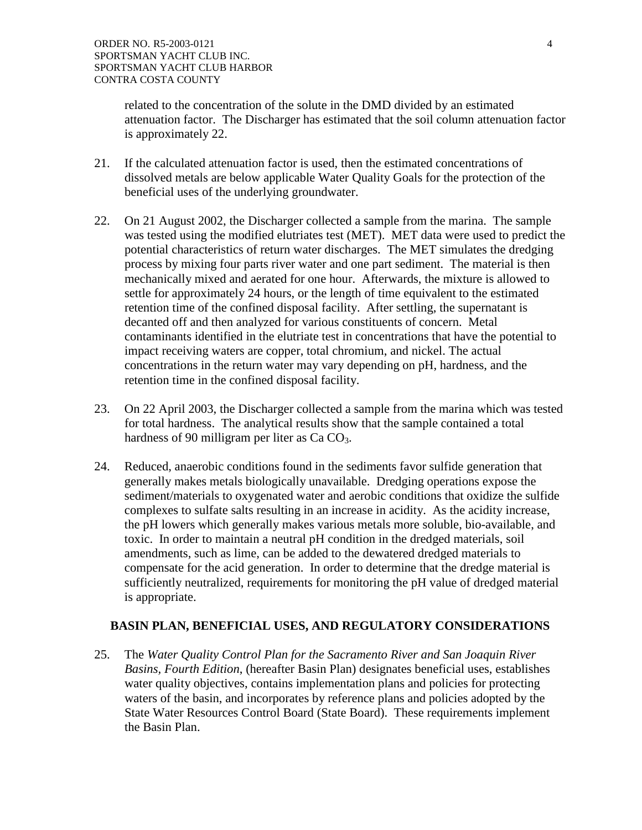related to the concentration of the solute in the DMD divided by an estimated attenuation factor. The Discharger has estimated that the soil column attenuation factor is approximately 22.

- 21. If the calculated attenuation factor is used, then the estimated concentrations of dissolved metals are below applicable Water Quality Goals for the protection of the beneficial uses of the underlying groundwater.
- 22. On 21 August 2002, the Discharger collected a sample from the marina. The sample was tested using the modified elutriates test (MET). MET data were used to predict the potential characteristics of return water discharges. The MET simulates the dredging process by mixing four parts river water and one part sediment. The material is then mechanically mixed and aerated for one hour. Afterwards, the mixture is allowed to settle for approximately 24 hours, or the length of time equivalent to the estimated retention time of the confined disposal facility. After settling, the supernatant is decanted off and then analyzed for various constituents of concern. Metal contaminants identified in the elutriate test in concentrations that have the potential to impact receiving waters are copper, total chromium, and nickel. The actual concentrations in the return water may vary depending on pH, hardness, and the retention time in the confined disposal facility.
- 23. On 22 April 2003, the Discharger collected a sample from the marina which was tested for total hardness. The analytical results show that the sample contained a total hardness of 90 milligram per liter as  $Ca \text{ }CO_3$ .
- 24. Reduced, anaerobic conditions found in the sediments favor sulfide generation that generally makes metals biologically unavailable. Dredging operations expose the sediment/materials to oxygenated water and aerobic conditions that oxidize the sulfide complexes to sulfate salts resulting in an increase in acidity. As the acidity increase, the pH lowers which generally makes various metals more soluble, bio-available, and toxic. In order to maintain a neutral pH condition in the dredged materials, soil amendments, such as lime, can be added to the dewatered dredged materials to compensate for the acid generation. In order to determine that the dredge material is sufficiently neutralized, requirements for monitoring the pH value of dredged material is appropriate.

## **BASIN PLAN, BENEFICIAL USES, AND REGULATORY CONSIDERATIONS**

25. The *Water Quality Control Plan for the Sacramento River and San Joaquin River Basins, Fourth Edition*, (hereafter Basin Plan) designates beneficial uses, establishes water quality objectives, contains implementation plans and policies for protecting waters of the basin, and incorporates by reference plans and policies adopted by the State Water Resources Control Board (State Board). These requirements implement the Basin Plan.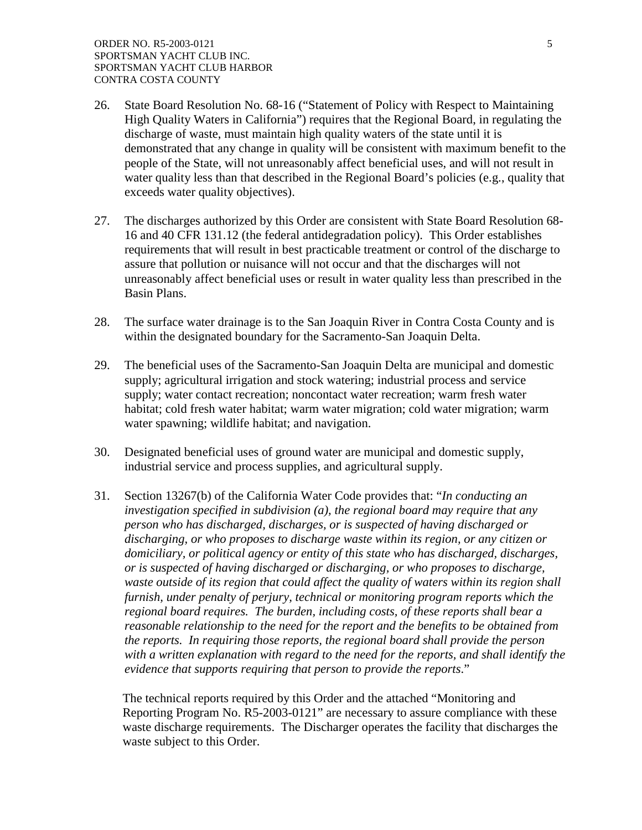- 26. State Board Resolution No. 68-16 ("Statement of Policy with Respect to Maintaining High Quality Waters in California") requires that the Regional Board, in regulating the discharge of waste, must maintain high quality waters of the state until it is demonstrated that any change in quality will be consistent with maximum benefit to the people of the State, will not unreasonably affect beneficial uses, and will not result in water quality less than that described in the Regional Board's policies (e.g., quality that exceeds water quality objectives).
- 27. The discharges authorized by this Order are consistent with State Board Resolution 68- 16 and 40 CFR 131.12 (the federal antidegradation policy). This Order establishes requirements that will result in best practicable treatment or control of the discharge to assure that pollution or nuisance will not occur and that the discharges will not unreasonably affect beneficial uses or result in water quality less than prescribed in the Basin Plans.
- 28. The surface water drainage is to the San Joaquin River in Contra Costa County and is within the designated boundary for the Sacramento-San Joaquin Delta.
- 29. The beneficial uses of the Sacramento-San Joaquin Delta are municipal and domestic supply; agricultural irrigation and stock watering; industrial process and service supply; water contact recreation; noncontact water recreation; warm fresh water habitat; cold fresh water habitat; warm water migration; cold water migration; warm water spawning; wildlife habitat; and navigation.
- 30. Designated beneficial uses of ground water are municipal and domestic supply, industrial service and process supplies, and agricultural supply.
- 31. Section 13267(b) of the California Water Code provides that: "*In conducting an investigation specified in subdivision (a), the regional board may require that any person who has discharged, discharges, or is suspected of having discharged or discharging, or who proposes to discharge waste within its region, or any citizen or domiciliary, or political agency or entity of this state who has discharged, discharges, or is suspected of having discharged or discharging, or who proposes to discharge, waste outside of its region that could affect the quality of waters within its region shall furnish, under penalty of perjury, technical or monitoring program reports which the regional board requires. The burden, including costs, of these reports shall bear a reasonable relationship to the need for the report and the benefits to be obtained from the reports. In requiring those reports, the regional board shall provide the person with a written explanation with regard to the need for the reports, and shall identify the evidence that supports requiring that person to provide the reports*."

The technical reports required by this Order and the attached "Monitoring and Reporting Program No. R5-2003-0121" are necessary to assure compliance with these waste discharge requirements. The Discharger operates the facility that discharges the waste subject to this Order.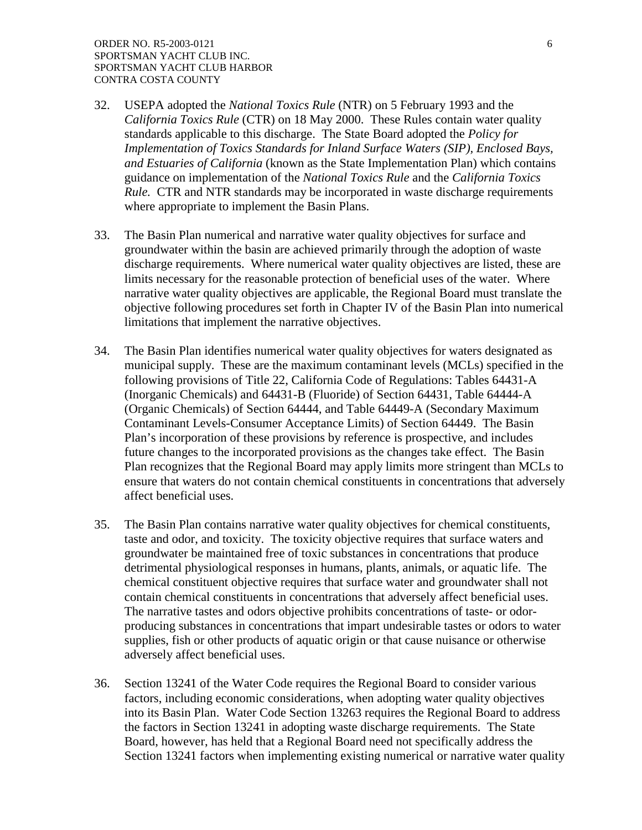- 32. USEPA adopted the *National Toxics Rule* (NTR) on 5 February 1993 and the *California Toxics Rule* (CTR) on 18 May 2000. These Rules contain water quality standards applicable to this discharge. The State Board adopted the *Policy for Implementation of Toxics Standards for Inland Surface Waters (SIP), Enclosed Bays, and Estuaries of California* (known as the State Implementation Plan) which contains guidance on implementation of the *National Toxics Rule* and the *California Toxics Rule.* CTR and NTR standards may be incorporated in waste discharge requirements where appropriate to implement the Basin Plans.
- 33. The Basin Plan numerical and narrative water quality objectives for surface and groundwater within the basin are achieved primarily through the adoption of waste discharge requirements. Where numerical water quality objectives are listed, these are limits necessary for the reasonable protection of beneficial uses of the water. Where narrative water quality objectives are applicable, the Regional Board must translate the objective following procedures set forth in Chapter IV of the Basin Plan into numerical limitations that implement the narrative objectives.
- 34. The Basin Plan identifies numerical water quality objectives for waters designated as municipal supply. These are the maximum contaminant levels (MCLs) specified in the following provisions of Title 22, California Code of Regulations: Tables 64431-A (Inorganic Chemicals) and 64431-B (Fluoride) of Section 64431, Table 64444-A (Organic Chemicals) of Section 64444, and Table 64449-A (Secondary Maximum Contaminant Levels-Consumer Acceptance Limits) of Section 64449. The Basin Plan's incorporation of these provisions by reference is prospective, and includes future changes to the incorporated provisions as the changes take effect. The Basin Plan recognizes that the Regional Board may apply limits more stringent than MCLs to ensure that waters do not contain chemical constituents in concentrations that adversely affect beneficial uses.
- 35. The Basin Plan contains narrative water quality objectives for chemical constituents, taste and odor, and toxicity. The toxicity objective requires that surface waters and groundwater be maintained free of toxic substances in concentrations that produce detrimental physiological responses in humans, plants, animals, or aquatic life. The chemical constituent objective requires that surface water and groundwater shall not contain chemical constituents in concentrations that adversely affect beneficial uses. The narrative tastes and odors objective prohibits concentrations of taste- or odorproducing substances in concentrations that impart undesirable tastes or odors to water supplies, fish or other products of aquatic origin or that cause nuisance or otherwise adversely affect beneficial uses.
- 36. Section 13241 of the Water Code requires the Regional Board to consider various factors, including economic considerations, when adopting water quality objectives into its Basin Plan. Water Code Section 13263 requires the Regional Board to address the factors in Section 13241 in adopting waste discharge requirements. The State Board, however, has held that a Regional Board need not specifically address the Section 13241 factors when implementing existing numerical or narrative water quality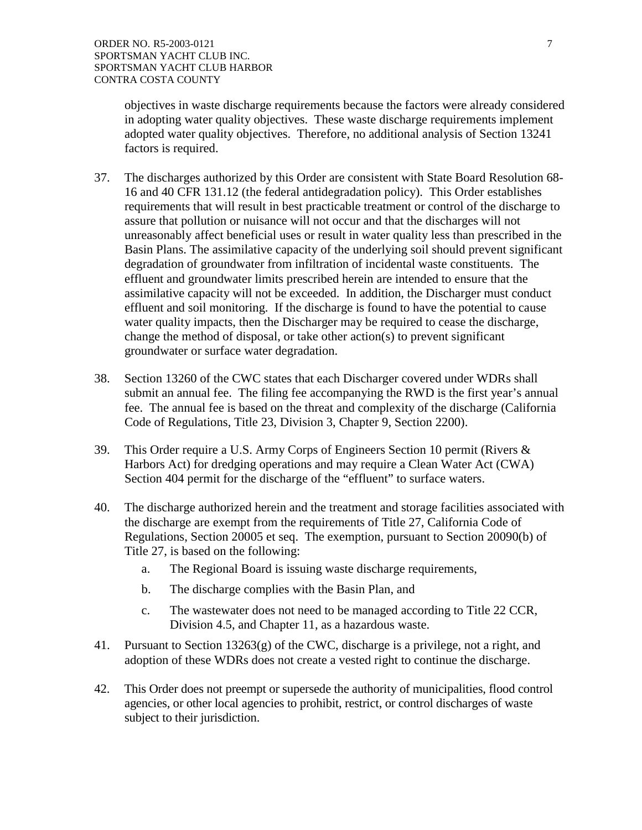objectives in waste discharge requirements because the factors were already considered in adopting water quality objectives. These waste discharge requirements implement adopted water quality objectives. Therefore, no additional analysis of Section 13241 factors is required.

- 37. The discharges authorized by this Order are consistent with State Board Resolution 68- 16 and 40 CFR 131.12 (the federal antidegradation policy). This Order establishes requirements that will result in best practicable treatment or control of the discharge to assure that pollution or nuisance will not occur and that the discharges will not unreasonably affect beneficial uses or result in water quality less than prescribed in the Basin Plans. The assimilative capacity of the underlying soil should prevent significant degradation of groundwater from infiltration of incidental waste constituents. The effluent and groundwater limits prescribed herein are intended to ensure that the assimilative capacity will not be exceeded. In addition, the Discharger must conduct effluent and soil monitoring. If the discharge is found to have the potential to cause water quality impacts, then the Discharger may be required to cease the discharge, change the method of disposal, or take other action(s) to prevent significant groundwater or surface water degradation.
- 38. Section 13260 of the CWC states that each Discharger covered under WDRs shall submit an annual fee. The filing fee accompanying the RWD is the first year's annual fee. The annual fee is based on the threat and complexity of the discharge (California Code of Regulations, Title 23, Division 3, Chapter 9, Section 2200).
- 39. This Order require a U.S. Army Corps of Engineers Section 10 permit (Rivers & Harbors Act) for dredging operations and may require a Clean Water Act (CWA) Section 404 permit for the discharge of the "effluent" to surface waters.
- 40. The discharge authorized herein and the treatment and storage facilities associated with the discharge are exempt from the requirements of Title 27, California Code of Regulations, Section 20005 et seq. The exemption, pursuant to Section 20090(b) of Title 27, is based on the following:
	- a. The Regional Board is issuing waste discharge requirements,
	- b. The discharge complies with the Basin Plan, and
	- c. The wastewater does not need to be managed according to Title 22 CCR, Division 4.5, and Chapter 11, as a hazardous waste.
- 41. Pursuant to Section 13263(g) of the CWC, discharge is a privilege, not a right, and adoption of these WDRs does not create a vested right to continue the discharge.
- 42. This Order does not preempt or supersede the authority of municipalities, flood control agencies, or other local agencies to prohibit, restrict, or control discharges of waste subject to their jurisdiction.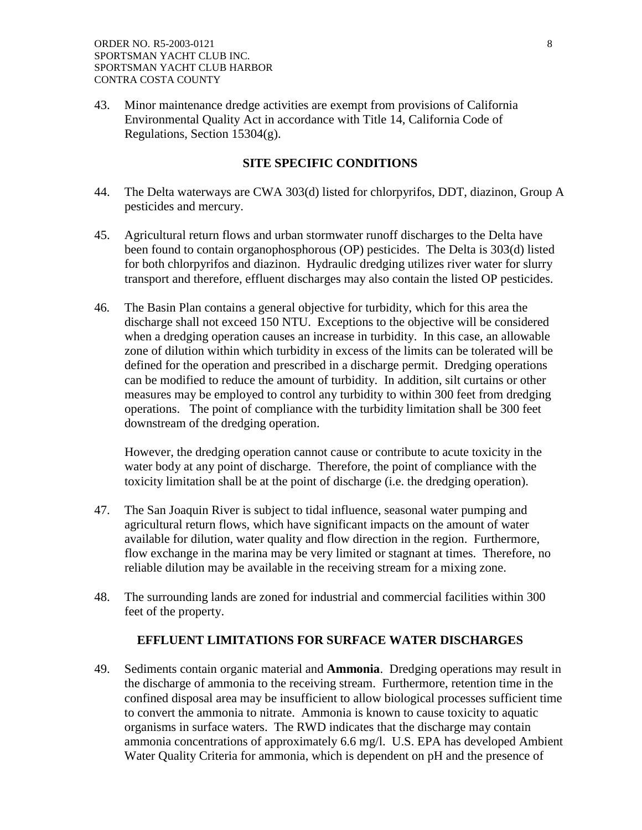43. Minor maintenance dredge activities are exempt from provisions of California Environmental Quality Act in accordance with Title 14, California Code of Regulations, Section 15304(g).

## **SITE SPECIFIC CONDITIONS**

- 44. The Delta waterways are CWA 303(d) listed for chlorpyrifos, DDT, diazinon, Group A pesticides and mercury.
- 45. Agricultural return flows and urban stormwater runoff discharges to the Delta have been found to contain organophosphorous (OP) pesticides. The Delta is 303(d) listed for both chlorpyrifos and diazinon. Hydraulic dredging utilizes river water for slurry transport and therefore, effluent discharges may also contain the listed OP pesticides.
- 46. The Basin Plan contains a general objective for turbidity, which for this area the discharge shall not exceed 150 NTU. Exceptions to the objective will be considered when a dredging operation causes an increase in turbidity. In this case, an allowable zone of dilution within which turbidity in excess of the limits can be tolerated will be defined for the operation and prescribed in a discharge permit. Dredging operations can be modified to reduce the amount of turbidity. In addition, silt curtains or other measures may be employed to control any turbidity to within 300 feet from dredging operations. The point of compliance with the turbidity limitation shall be 300 feet downstream of the dredging operation.

However, the dredging operation cannot cause or contribute to acute toxicity in the water body at any point of discharge. Therefore, the point of compliance with the toxicity limitation shall be at the point of discharge (i.e. the dredging operation).

- 47. The San Joaquin River is subject to tidal influence, seasonal water pumping and agricultural return flows, which have significant impacts on the amount of water available for dilution, water quality and flow direction in the region. Furthermore, flow exchange in the marina may be very limited or stagnant at times. Therefore, no reliable dilution may be available in the receiving stream for a mixing zone.
- 48. The surrounding lands are zoned for industrial and commercial facilities within 300 feet of the property.

## **EFFLUENT LIMITATIONS FOR SURFACE WATER DISCHARGES**

49. Sediments contain organic material and **Ammonia**. Dredging operations may result in the discharge of ammonia to the receiving stream. Furthermore, retention time in the confined disposal area may be insufficient to allow biological processes sufficient time to convert the ammonia to nitrate. Ammonia is known to cause toxicity to aquatic organisms in surface waters. The RWD indicates that the discharge may contain ammonia concentrations of approximately 6.6 mg/l. U.S. EPA has developed Ambient Water Quality Criteria for ammonia, which is dependent on pH and the presence of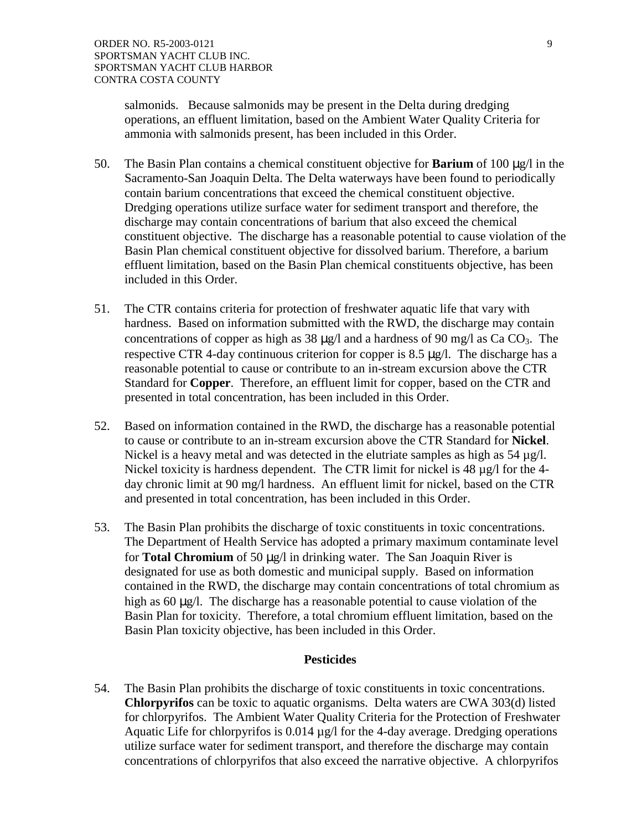salmonids. Because salmonids may be present in the Delta during dredging operations, an effluent limitation, based on the Ambient Water Quality Criteria for ammonia with salmonids present, has been included in this Order.

- 50. The Basin Plan contains a chemical constituent objective for **Barium** of 100  $\mu$ g/l in the Sacramento-San Joaquin Delta. The Delta waterways have been found to periodically contain barium concentrations that exceed the chemical constituent objective. Dredging operations utilize surface water for sediment transport and therefore, the discharge may contain concentrations of barium that also exceed the chemical constituent objective. The discharge has a reasonable potential to cause violation of the Basin Plan chemical constituent objective for dissolved barium. Therefore, a barium effluent limitation, based on the Basin Plan chemical constituents objective, has been included in this Order.
- 51. The CTR contains criteria for protection of freshwater aquatic life that vary with hardness. Based on information submitted with the RWD, the discharge may contain concentrations of copper as high as 38  $\mu$ g/l and a hardness of 90 mg/l as Ca CO<sub>3</sub>. The respective CTR 4-day continuous criterion for copper is 8.5 µg/l. The discharge has a reasonable potential to cause or contribute to an in-stream excursion above the CTR Standard for **Copper**. Therefore, an effluent limit for copper, based on the CTR and presented in total concentration, has been included in this Order.
- 52. Based on information contained in the RWD, the discharge has a reasonable potential to cause or contribute to an in-stream excursion above the CTR Standard for **Nickel**. Nickel is a heavy metal and was detected in the elutriate samples as high as  $54 \mu g/l$ . Nickel toxicity is hardness dependent. The CTR limit for nickel is 48 µg/l for the 4day chronic limit at 90 mg/l hardness. An effluent limit for nickel, based on the CTR and presented in total concentration, has been included in this Order.
- 53. The Basin Plan prohibits the discharge of toxic constituents in toxic concentrations. The Department of Health Service has adopted a primary maximum contaminate level for **Total Chromium** of 50 µg/l in drinking water. The San Joaquin River is designated for use as both domestic and municipal supply. Based on information contained in the RWD, the discharge may contain concentrations of total chromium as high as 60  $\mu$ g/l. The discharge has a reasonable potential to cause violation of the Basin Plan for toxicity. Therefore, a total chromium effluent limitation, based on the Basin Plan toxicity objective, has been included in this Order.

## **Pesticides**

54. The Basin Plan prohibits the discharge of toxic constituents in toxic concentrations. **Chlorpyrifos** can be toxic to aquatic organisms. Delta waters are CWA 303(d) listed for chlorpyrifos. The Ambient Water Quality Criteria for the Protection of Freshwater Aquatic Life for chlorpyrifos is 0.014 µg/l for the 4-day average. Dredging operations utilize surface water for sediment transport, and therefore the discharge may contain concentrations of chlorpyrifos that also exceed the narrative objective. A chlorpyrifos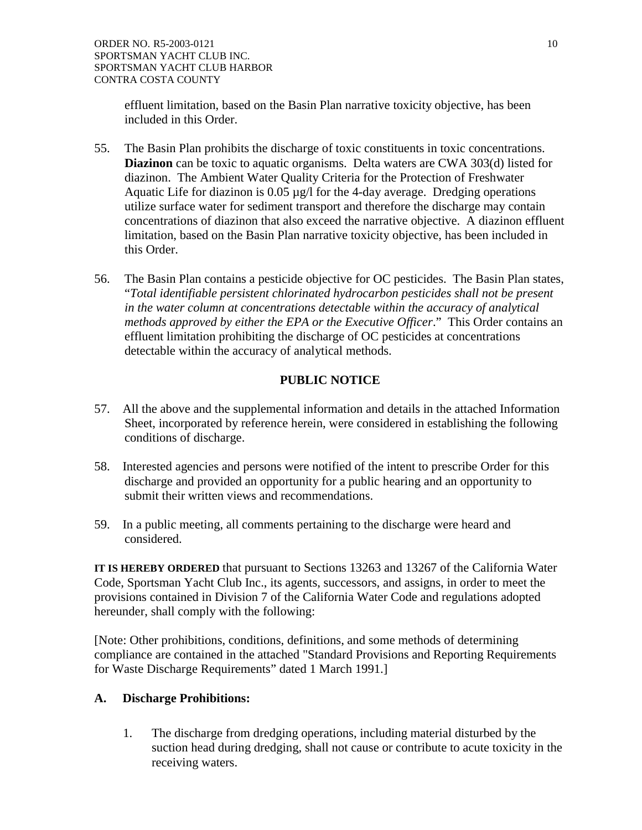effluent limitation, based on the Basin Plan narrative toxicity objective, has been included in this Order.

- 55. The Basin Plan prohibits the discharge of toxic constituents in toxic concentrations. **Diazinon** can be toxic to aquatic organisms. Delta waters are CWA 303(d) listed for diazinon. The Ambient Water Quality Criteria for the Protection of Freshwater Aquatic Life for diazinon is 0.05 µg/l for the 4-day average. Dredging operations utilize surface water for sediment transport and therefore the discharge may contain concentrations of diazinon that also exceed the narrative objective. A diazinon effluent limitation, based on the Basin Plan narrative toxicity objective, has been included in this Order.
- 56. The Basin Plan contains a pesticide objective for OC pesticides. The Basin Plan states, "*Total identifiable persistent chlorinated hydrocarbon pesticides shall not be present in the water column at concentrations detectable within the accuracy of analytical methods approved by either the EPA or the Executive Officer*." This Order contains an effluent limitation prohibiting the discharge of OC pesticides at concentrations detectable within the accuracy of analytical methods.

# **PUBLIC NOTICE**

- 57. All the above and the supplemental information and details in the attached Information Sheet, incorporated by reference herein, were considered in establishing the following conditions of discharge.
- 58. Interested agencies and persons were notified of the intent to prescribe Order for this discharge and provided an opportunity for a public hearing and an opportunity to submit their written views and recommendations.
- 59. In a public meeting, all comments pertaining to the discharge were heard and considered.

**IT IS HEREBY ORDERED** that pursuant to Sections 13263 and 13267 of the California Water Code, Sportsman Yacht Club Inc., its agents, successors, and assigns, in order to meet the provisions contained in Division 7 of the California Water Code and regulations adopted hereunder, shall comply with the following:

[Note: Other prohibitions, conditions, definitions, and some methods of determining compliance are contained in the attached "Standard Provisions and Reporting Requirements for Waste Discharge Requirements" dated 1 March 1991.]

## **A. Discharge Prohibitions:**

1. The discharge from dredging operations, including material disturbed by the suction head during dredging, shall not cause or contribute to acute toxicity in the receiving waters.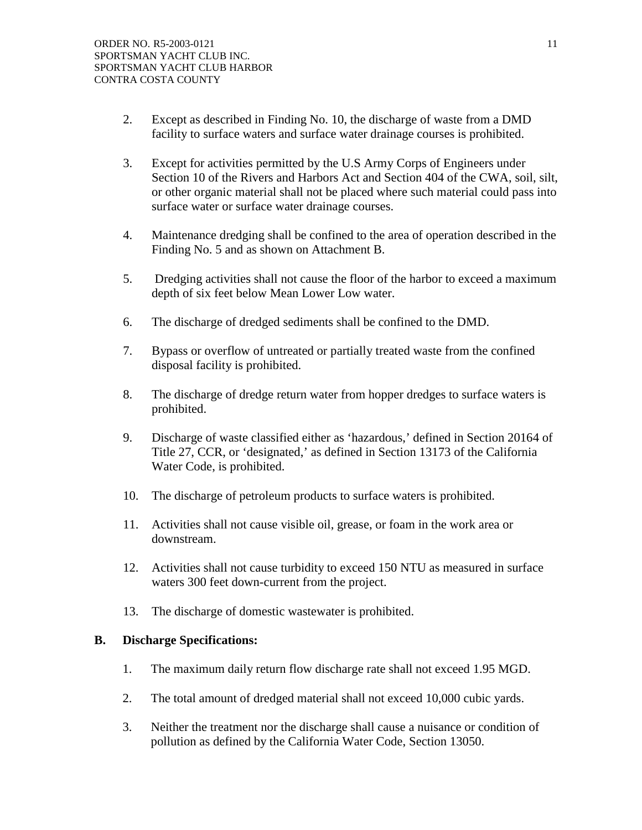- 2. Except as described in Finding No. 10, the discharge of waste from a DMD facility to surface waters and surface water drainage courses is prohibited.
- 3. Except for activities permitted by the U.S Army Corps of Engineers under Section 10 of the Rivers and Harbors Act and Section 404 of the CWA, soil, silt, or other organic material shall not be placed where such material could pass into surface water or surface water drainage courses.
- 4. Maintenance dredging shall be confined to the area of operation described in the Finding No. 5 and as shown on Attachment B.
- 5. Dredging activities shall not cause the floor of the harbor to exceed a maximum depth of six feet below Mean Lower Low water.
- 6. The discharge of dredged sediments shall be confined to the DMD.
- 7. Bypass or overflow of untreated or partially treated waste from the confined disposal facility is prohibited.
- 8. The discharge of dredge return water from hopper dredges to surface waters is prohibited.
- 9. Discharge of waste classified either as 'hazardous,' defined in Section 20164 of Title 27, CCR, or 'designated,' as defined in Section 13173 of the California Water Code, is prohibited.
- 10. The discharge of petroleum products to surface waters is prohibited.
- 11. Activities shall not cause visible oil, grease, or foam in the work area or downstream.
- 12. Activities shall not cause turbidity to exceed 150 NTU as measured in surface waters 300 feet down-current from the project.
- 13. The discharge of domestic wastewater is prohibited.

## **B. Discharge Specifications:**

- 1. The maximum daily return flow discharge rate shall not exceed 1.95 MGD.
- 2. The total amount of dredged material shall not exceed 10,000 cubic yards.
- 3. Neither the treatment nor the discharge shall cause a nuisance or condition of pollution as defined by the California Water Code, Section 13050.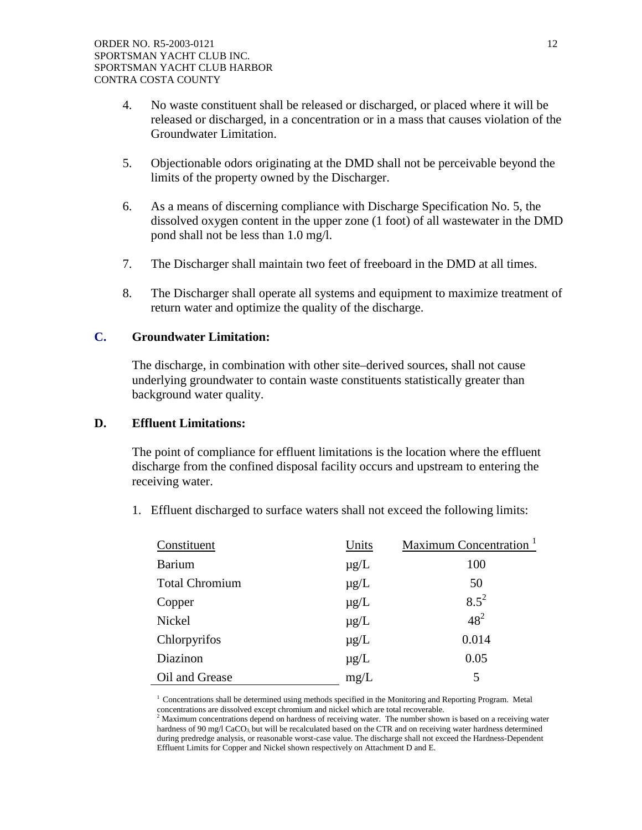- 4. No waste constituent shall be released or discharged, or placed where it will be released or discharged, in a concentration or in a mass that causes violation of the Groundwater Limitation.
- 5. Objectionable odors originating at the DMD shall not be perceivable beyond the limits of the property owned by the Discharger.
- 6. As a means of discerning compliance with Discharge Specification No. 5, the dissolved oxygen content in the upper zone (1 foot) of all wastewater in the DMD pond shall not be less than 1.0 mg/l.
- 7. The Discharger shall maintain two feet of freeboard in the DMD at all times.
- 8. The Discharger shall operate all systems and equipment to maximize treatment of return water and optimize the quality of the discharge.

## **C. Groundwater Limitation:**

The discharge, in combination with other site–derived sources, shall not cause underlying groundwater to contain waste constituents statistically greater than background water quality.

## **D. Effluent Limitations:**

The point of compliance for effluent limitations is the location where the effluent discharge from the confined disposal facility occurs and upstream to entering the receiving water.

1. Effluent discharged to surface waters shall not exceed the following limits:

| Constituent           | Units     | Maximum Concentration <sup>1</sup> |
|-----------------------|-----------|------------------------------------|
| <b>Barium</b>         | $\mu$ g/L | 100                                |
| <b>Total Chromium</b> | $\mu$ g/L | 50                                 |
| Copper                | $\mu$ g/L | $8.5^{2}$                          |
| Nickel                | $\mu$ g/L | $48^{2}$                           |
| Chlorpyrifos          | $\mu$ g/L | 0.014                              |
| Diazinon              | $\mu$ g/L | 0.05                               |
| Oil and Grease        | mg/L      | 5                                  |

<sup>1</sup> Concentrations shall be determined using methods specified in the Monitoring and Reporting Program. Metal

concentrations are dissolved except chromium and nickel which are total recoverable. 2 Maximum concentrations depend on hardness of receiving water. The number shown is based on a receiving water hardness of 90 mg/l CaCO<sub>3</sub>, but will be recalculated based on the CTR and on receiving water hardness determined during predredge analysis, or reasonable worst-case value. The discharge shall not exceed the Hardness-Dependent Effluent Limits for Copper and Nickel shown respectively on Attachment D and E.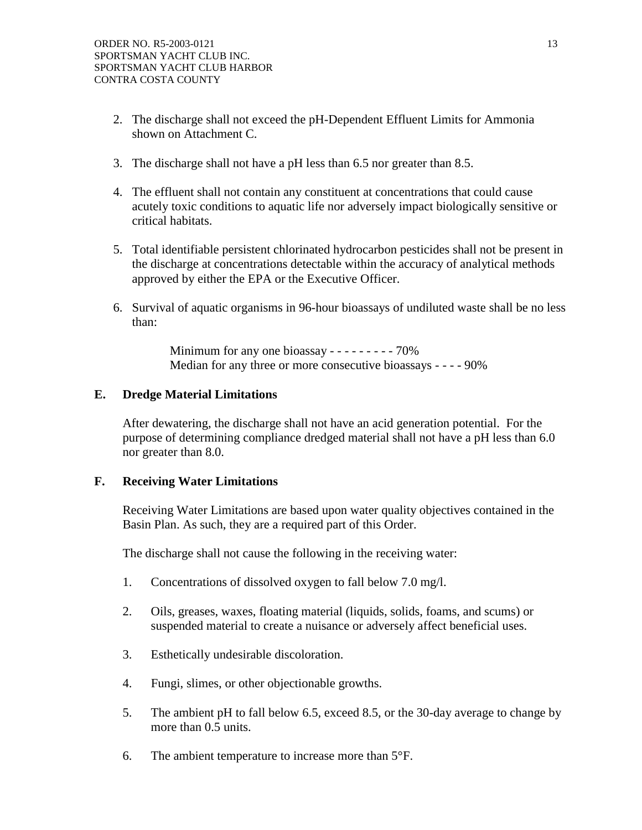- 2. The discharge shall not exceed the pH-Dependent Effluent Limits for Ammonia shown on Attachment C.
- 3. The discharge shall not have a pH less than 6.5 nor greater than 8.5.
- 4. The effluent shall not contain any constituent at concentrations that could cause acutely toxic conditions to aquatic life nor adversely impact biologically sensitive or critical habitats.
- 5. Total identifiable persistent chlorinated hydrocarbon pesticides shall not be present in the discharge at concentrations detectable within the accuracy of analytical methods approved by either the EPA or the Executive Officer.
- 6. Survival of aquatic organisms in 96-hour bioassays of undiluted waste shall be no less than:

Minimum for any one bioassay - - - - - - - - - 70% Median for any three or more consecutive bioassays - - - - 90%

## **E. Dredge Material Limitations**

After dewatering, the discharge shall not have an acid generation potential. For the purpose of determining compliance dredged material shall not have a pH less than 6.0 nor greater than 8.0.

## **F. Receiving Water Limitations**

Receiving Water Limitations are based upon water quality objectives contained in the Basin Plan. As such, they are a required part of this Order.

The discharge shall not cause the following in the receiving water:

- 1. Concentrations of dissolved oxygen to fall below 7.0 mg/l.
- 2. Oils, greases, waxes, floating material (liquids, solids, foams, and scums) or suspended material to create a nuisance or adversely affect beneficial uses.
- 3. Esthetically undesirable discoloration.
- 4. Fungi, slimes, or other objectionable growths.
- 5. The ambient pH to fall below 6.5, exceed 8.5, or the 30-day average to change by more than 0.5 units.
- 6. The ambient temperature to increase more than 5°F.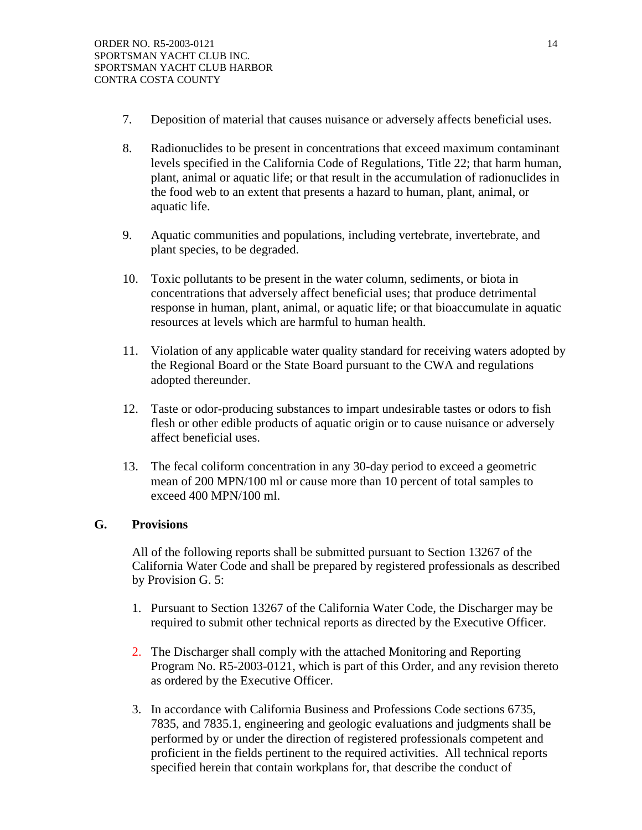- 7. Deposition of material that causes nuisance or adversely affects beneficial uses.
- 8. Radionuclides to be present in concentrations that exceed maximum contaminant levels specified in the California Code of Regulations, Title 22; that harm human, plant, animal or aquatic life; or that result in the accumulation of radionuclides in the food web to an extent that presents a hazard to human, plant, animal, or aquatic life.
- 9. Aquatic communities and populations, including vertebrate, invertebrate, and plant species, to be degraded.
- 10. Toxic pollutants to be present in the water column, sediments, or biota in concentrations that adversely affect beneficial uses; that produce detrimental response in human, plant, animal, or aquatic life; or that bioaccumulate in aquatic resources at levels which are harmful to human health.
- 11. Violation of any applicable water quality standard for receiving waters adopted by the Regional Board or the State Board pursuant to the CWA and regulations adopted thereunder.
- 12. Taste or odor-producing substances to impart undesirable tastes or odors to fish flesh or other edible products of aquatic origin or to cause nuisance or adversely affect beneficial uses.
- 13. The fecal coliform concentration in any 30-day period to exceed a geometric mean of 200 MPN/100 ml or cause more than 10 percent of total samples to exceed 400 MPN/100 ml.

## **G. Provisions**

All of the following reports shall be submitted pursuant to Section 13267 of the California Water Code and shall be prepared by registered professionals as described by Provision G. 5:

- 1. Pursuant to Section 13267 of the California Water Code, the Discharger may be required to submit other technical reports as directed by the Executive Officer.
- 2. The Discharger shall comply with the attached Monitoring and Reporting Program No. R5-2003-0121, which is part of this Order, and any revision thereto as ordered by the Executive Officer.
- 3. In accordance with California Business and Professions Code sections 6735, 7835, and 7835.1, engineering and geologic evaluations and judgments shall be performed by or under the direction of registered professionals competent and proficient in the fields pertinent to the required activities. All technical reports specified herein that contain workplans for, that describe the conduct of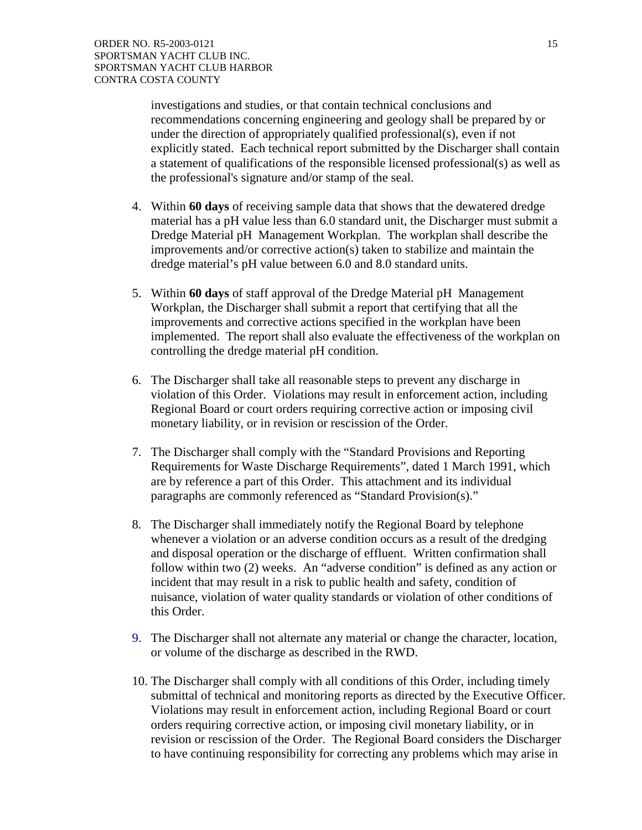investigations and studies, or that contain technical conclusions and recommendations concerning engineering and geology shall be prepared by or under the direction of appropriately qualified professional(s), even if not explicitly stated. Each technical report submitted by the Discharger shall contain a statement of qualifications of the responsible licensed professional(s) as well as the professional's signature and/or stamp of the seal.

- 4. Within **60 days** of receiving sample data that shows that the dewatered dredge material has a pH value less than 6.0 standard unit, the Discharger must submit a Dredge Material pH Management Workplan. The workplan shall describe the improvements and/or corrective action(s) taken to stabilize and maintain the dredge material's pH value between 6.0 and 8.0 standard units.
- 5. Within **60 days** of staff approval of the Dredge Material pH Management Workplan, the Discharger shall submit a report that certifying that all the improvements and corrective actions specified in the workplan have been implemented. The report shall also evaluate the effectiveness of the workplan on controlling the dredge material pH condition.
- 6. The Discharger shall take all reasonable steps to prevent any discharge in violation of this Order. Violations may result in enforcement action, including Regional Board or court orders requiring corrective action or imposing civil monetary liability, or in revision or rescission of the Order.
- 7. The Discharger shall comply with the "Standard Provisions and Reporting Requirements for Waste Discharge Requirements", dated 1 March 1991, which are by reference a part of this Order. This attachment and its individual paragraphs are commonly referenced as "Standard Provision(s)."
- 8. The Discharger shall immediately notify the Regional Board by telephone whenever a violation or an adverse condition occurs as a result of the dredging and disposal operation or the discharge of effluent. Written confirmation shall follow within two (2) weeks. An "adverse condition" is defined as any action or incident that may result in a risk to public health and safety, condition of nuisance, violation of water quality standards or violation of other conditions of this Order.
- 9. The Discharger shall not alternate any material or change the character, location, or volume of the discharge as described in the RWD.
- 10. The Discharger shall comply with all conditions of this Order, including timely submittal of technical and monitoring reports as directed by the Executive Officer. Violations may result in enforcement action, including Regional Board or court orders requiring corrective action, or imposing civil monetary liability, or in revision or rescission of the Order. The Regional Board considers the Discharger to have continuing responsibility for correcting any problems which may arise in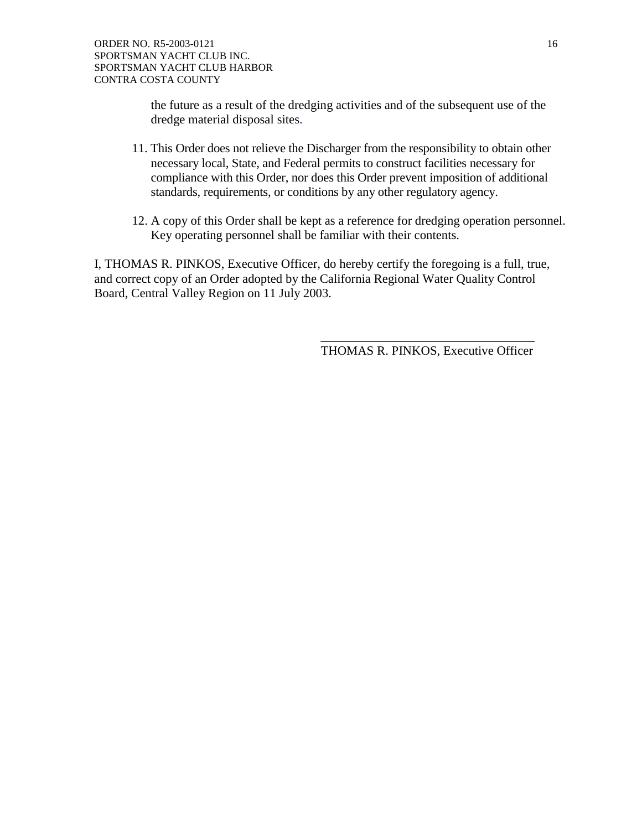the future as a result of the dredging activities and of the subsequent use of the dredge material disposal sites.

- 11. This Order does not relieve the Discharger from the responsibility to obtain other necessary local, State, and Federal permits to construct facilities necessary for compliance with this Order, nor does this Order prevent imposition of additional standards, requirements, or conditions by any other regulatory agency.
- 12. A copy of this Order shall be kept as a reference for dredging operation personnel. Key operating personnel shall be familiar with their contents.

I, THOMAS R. PINKOS, Executive Officer, do hereby certify the foregoing is a full, true, and correct copy of an Order adopted by the California Regional Water Quality Control Board, Central Valley Region on 11 July 2003.

THOMAS R. PINKOS, Executive Officer

 $\overline{\phantom{a}}$  ,  $\overline{\phantom{a}}$  ,  $\overline{\phantom{a}}$  ,  $\overline{\phantom{a}}$  ,  $\overline{\phantom{a}}$  ,  $\overline{\phantom{a}}$  ,  $\overline{\phantom{a}}$  ,  $\overline{\phantom{a}}$  ,  $\overline{\phantom{a}}$  ,  $\overline{\phantom{a}}$  ,  $\overline{\phantom{a}}$  ,  $\overline{\phantom{a}}$  ,  $\overline{\phantom{a}}$  ,  $\overline{\phantom{a}}$  ,  $\overline{\phantom{a}}$  ,  $\overline{\phantom{a}}$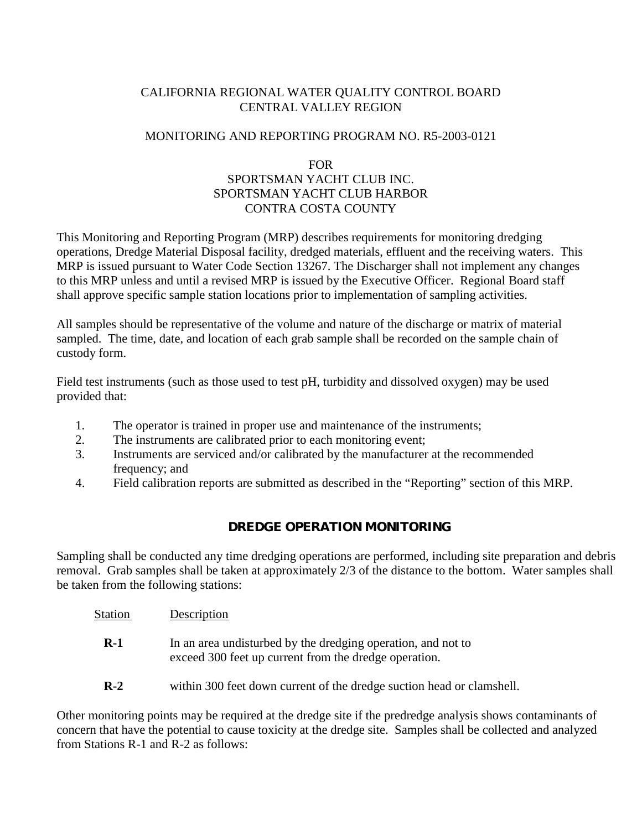# CALIFORNIA REGIONAL WATER QUALITY CONTROL BOARD CENTRAL VALLEY REGION

# MONITORING AND REPORTING PROGRAM NO. R5-2003-0121

## FOR

# SPORTSMAN YACHT CLUB INC. SPORTSMAN YACHT CLUB HARBOR CONTRA COSTA COUNTY

This Monitoring and Reporting Program (MRP) describes requirements for monitoring dredging operations, Dredge Material Disposal facility, dredged materials, effluent and the receiving waters. This MRP is issued pursuant to Water Code Section 13267. The Discharger shall not implement any changes to this MRP unless and until a revised MRP is issued by the Executive Officer. Regional Board staff shall approve specific sample station locations prior to implementation of sampling activities.

All samples should be representative of the volume and nature of the discharge or matrix of material sampled. The time, date, and location of each grab sample shall be recorded on the sample chain of custody form.

Field test instruments (such as those used to test pH, turbidity and dissolved oxygen) may be used provided that:

- 1. The operator is trained in proper use and maintenance of the instruments;
- 2. The instruments are calibrated prior to each monitoring event;
- 3. Instruments are serviced and/or calibrated by the manufacturer at the recommended frequency; and
- 4. Field calibration reports are submitted as described in the "Reporting" section of this MRP.

# **DREDGE OPERATION MONITORING**

Sampling shall be conducted any time dredging operations are performed, including site preparation and debris removal. Grab samples shall be taken at approximately 2/3 of the distance to the bottom. Water samples shall be taken from the following stations:

- Station Description
	- **R-1** In an area undisturbed by the dredging operation, and not to exceed 300 feet up current from the dredge operation.
	- **R-2** within 300 feet down current of the dredge suction head or clamshell.

Other monitoring points may be required at the dredge site if the predredge analysis shows contaminants of concern that have the potential to cause toxicity at the dredge site. Samples shall be collected and analyzed from Stations R-1 and R-2 as follows: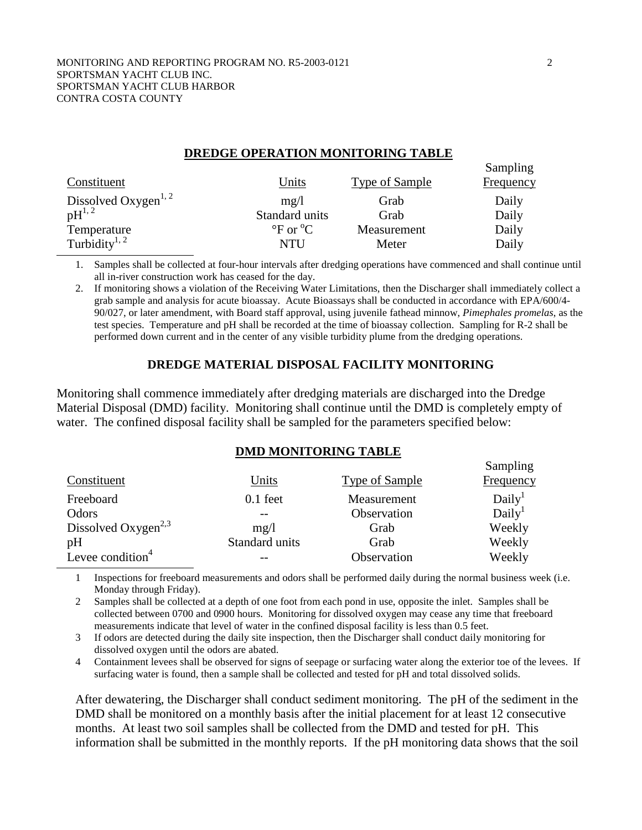### **DREDGE OPERATION MONITORING TABLE**

| Constituent                      | <u>Units</u>                         | Type of Sample | Sampling<br>Frequency |
|----------------------------------|--------------------------------------|----------------|-----------------------|
| Dissolved Oxygen <sup>1, 2</sup> | mg/1                                 | Grab           | Daily                 |
| $\mathrm{pH}^{1,2}$              | Standard units                       | Grab           | Daily                 |
| Temperature                      | $\rm{^{\circ}F}$ or $\rm{^{\circ}C}$ | Measurement    | Daily                 |
| Turbidity <sup>1, 2</sup>        | NTU                                  | Meter          | Daily                 |

1. Samples shall be collected at four-hour intervals after dredging operations have commenced and shall continue until all in-river construction work has ceased for the day.

2. If monitoring shows a violation of the Receiving Water Limitations, then the Discharger shall immediately collect a grab sample and analysis for acute bioassay. Acute Bioassays shall be conducted in accordance with EPA/600/4- 90/027, or later amendment, with Board staff approval, using juvenile fathead minnow, *Pimephales promelas*, as the test species. Temperature and pH shall be recorded at the time of bioassay collection. Sampling for R-2 shall be performed down current and in the center of any visible turbidity plume from the dredging operations.

## **DREDGE MATERIAL DISPOSAL FACILITY MONITORING**

Monitoring shall commence immediately after dredging materials are discharged into the Dredge Material Disposal (DMD) facility. Monitoring shall continue until the DMD is completely empty of water. The confined disposal facility shall be sampled for the parameters specified below:

## **DMD MONITORING TABLE**

|                                 |                |                       | Sampling           |
|---------------------------------|----------------|-----------------------|--------------------|
| Constituent                     | Units          | <b>Type of Sample</b> | Frequency          |
| Freeboard                       | $0.1$ feet     | Measurement           | Daily <sup>1</sup> |
| Odors                           |                | Observation           | Daily <sup>1</sup> |
| Dissolved Oxygen <sup>2,3</sup> | mg/1           | Grab                  | Weekly             |
| pH                              | Standard units | Grab                  | Weekly             |
| Levee condition <sup>4</sup>    |                | Observation           | Weekly             |

1 Inspections for freeboard measurements and odors shall be performed daily during the normal business week (i.e. Monday through Friday).

2 Samples shall be collected at a depth of one foot from each pond in use, opposite the inlet. Samples shall be collected between 0700 and 0900 hours. Monitoring for dissolved oxygen may cease any time that freeboard measurements indicate that level of water in the confined disposal facility is less than 0.5 feet.

3 If odors are detected during the daily site inspection, then the Discharger shall conduct daily monitoring for dissolved oxygen until the odors are abated.

4 Containment levees shall be observed for signs of seepage or surfacing water along the exterior toe of the levees. If surfacing water is found, then a sample shall be collected and tested for pH and total dissolved solids.

After dewatering, the Discharger shall conduct sediment monitoring. The pH of the sediment in the DMD shall be monitored on a monthly basis after the initial placement for at least 12 consecutive months. At least two soil samples shall be collected from the DMD and tested for pH. This information shall be submitted in the monthly reports. If the pH monitoring data shows that the soil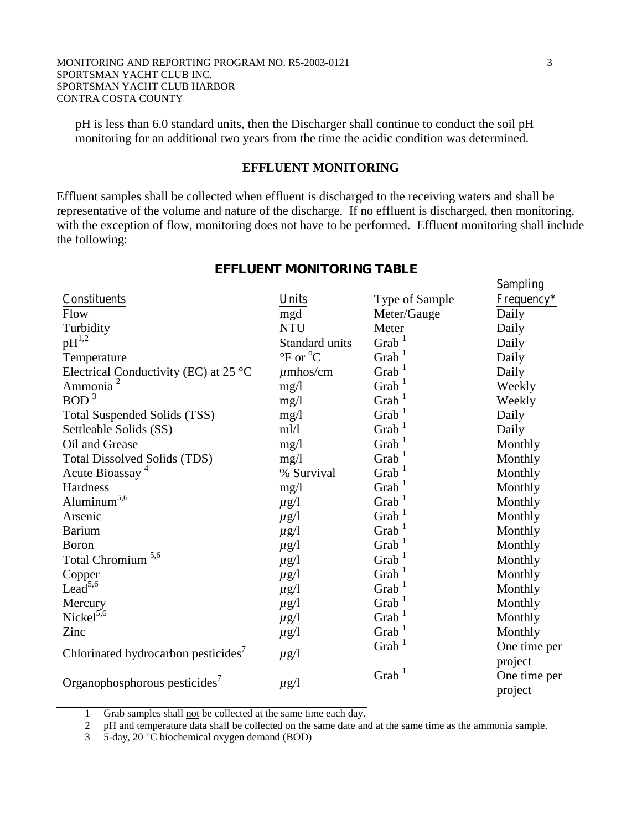pH is less than 6.0 standard units, then the Discharger shall continue to conduct the soil pH monitoring for an additional two years from the time the acidic condition was determined.

## **EFFLUENT MONITORING**

Effluent samples shall be collected when effluent is discharged to the receiving waters and shall be representative of the volume and nature of the discharge. If no effluent is discharged, then monitoring, with the exception of flow, monitoring does not have to be performed. Effluent monitoring shall include the following:

|                                                 |                                      |                       | <b>Sampling</b>         |
|-------------------------------------------------|--------------------------------------|-----------------------|-------------------------|
| Constituents                                    | Units                                | <b>Type of Sample</b> | Frequency*              |
| Flow                                            | mgd                                  | Meter/Gauge           | Daily                   |
| Turbidity                                       | <b>NTU</b>                           | Meter                 | Daily                   |
| $pH^{1,2}$                                      | <b>Standard units</b>                | Grab $1$              | Daily                   |
| Temperature                                     | $\rm{^{\circ}F}$ or $\rm{^{\circ}C}$ | Grab $1$              | Daily                   |
| Electrical Conductivity (EC) at 25 $^{\circ}$ C | $\mu$ mhos/cm                        | $G$ rab $^1$          | Daily                   |
| Ammonia <sup>2</sup>                            | mg/1                                 | Grab <sup>1</sup>     | Weekly                  |
| BOD <sup>3</sup>                                | mg/1                                 | Grab <sup>1</sup>     | Weekly                  |
| <b>Total Suspended Solids (TSS)</b>             | mg/l                                 | Grab <sup>1</sup>     | Daily                   |
| Settleable Solids (SS)                          | m!/l                                 | Grab <sup>1</sup>     | Daily                   |
| Oil and Grease                                  | mg/l                                 | Grab <sup>1</sup>     | Monthly                 |
| <b>Total Dissolved Solids (TDS)</b>             | mg/1                                 | Grab <sup>1</sup>     | Monthly                 |
| Acute Bioassay <sup>4</sup>                     | % Survival                           | $G$ rab <sup>1</sup>  | Monthly                 |
| Hardness                                        | mg/l                                 | Grab <sup>1</sup>     | Monthly                 |
| $\text{Aluminum}^{5,6}$                         | $\mu$ g/l                            | Grab <sup>1</sup>     | Monthly                 |
| Arsenic                                         | $\mu$ g/l                            | Grab <sup>1</sup>     | Monthly                 |
| Barium                                          | $\mu$ g/l                            | $G$ rab <sup>1</sup>  | Monthly                 |
| Boron                                           | $\mu$ g/l                            | Grab <sup>1</sup>     | Monthly                 |
| Total Chromium <sup>5,6</sup>                   | $\mu$ g/l                            | Grab $1$              | Monthly                 |
| Copper                                          | $\mu$ g/l                            | Grab <sup>1</sup>     | Monthly                 |
| Lead <sup>5,6</sup>                             | $\mu$ g/l                            | $G$ rab <sup>1</sup>  | Monthly                 |
| Mercury                                         | $\mu$ g/l                            | $G$ rab <sup>1</sup>  | Monthly                 |
| Nickel <sup>5,6</sup>                           | $\mu$ g/l                            | Grab <sup>1</sup>     | Monthly                 |
| Zinc                                            | $\mu$ g/l                            | $G$ rab $^1$          | Monthly                 |
| Chlorinated hydrocarbon pesticides <sup>7</sup> | $\mu$ g/l                            | Grab $1$              | One time per<br>project |
| Organophosphorous pesticides'                   | $\mu$ g/l                            | Grab $1$              | One time per<br>project |

#### **EFFLUENT MONITORING TABLE**

1 Grab samples shall not be collected at the same time each day.

2 pH and temperature data shall be collected on the same date and at the same time as the ammonia sample.

3 5-day, 20 °C biochemical oxygen demand (BOD)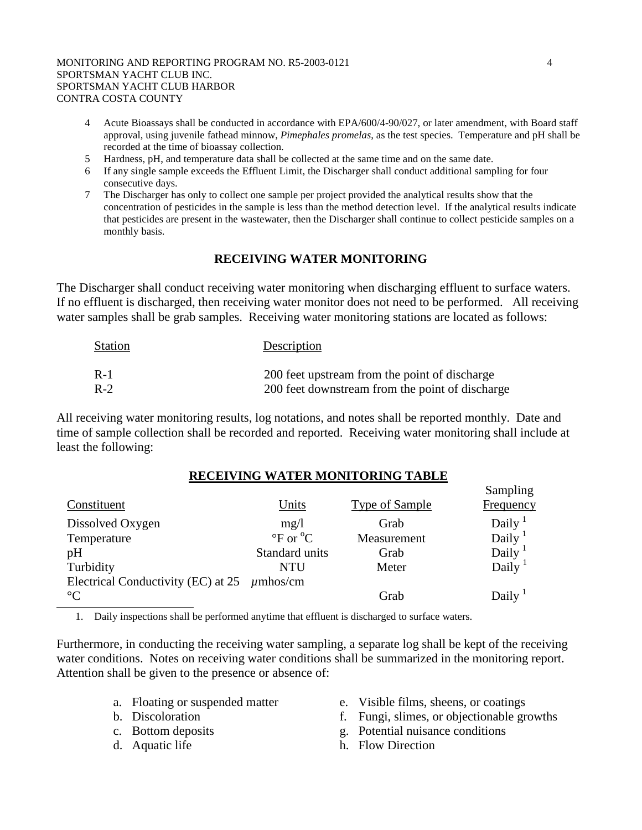- 4 Acute Bioassays shall be conducted in accordance with EPA/600/4-90/027, or later amendment, with Board staff approval, using juvenile fathead minnow, *Pimephales promelas*, as the test species. Temperature and pH shall be recorded at the time of bioassay collection.
- 5 Hardness, pH, and temperature data shall be collected at the same time and on the same date.
- 6 If any single sample exceeds the Effluent Limit, the Discharger shall conduct additional sampling for four consecutive days.
- 7 The Discharger has only to collect one sample per project provided the analytical results show that the concentration of pesticides in the sample is less than the method detection level. If the analytical results indicate that pesticides are present in the wastewater, then the Discharger shall continue to collect pesticide samples on a monthly basis.

# **RECEIVING WATER MONITORING**

The Discharger shall conduct receiving water monitoring when discharging effluent to surface waters. If no effluent is discharged, then receiving water monitor does not need to be performed. All receiving water samples shall be grab samples. Receiving water monitoring stations are located as follows:

| <b>Station</b> | Description                                     |
|----------------|-------------------------------------------------|
| $R-1$          | 200 feet upstream from the point of discharge   |
| $R-2$          | 200 feet downstream from the point of discharge |

All receiving water monitoring results, log notations, and notes shall be reported monthly. Date and time of sample collection shall be recorded and reported. Receiving water monitoring shall include at least the following:

## **RECEIVING WATER MONITORING TABLE**

| Constituent                                      | Units                                                  | <b>Type of Sample</b> | Sampling<br><b>Frequency</b>    |
|--------------------------------------------------|--------------------------------------------------------|-----------------------|---------------------------------|
| Dissolved Oxygen                                 | mg/1                                                   | Grab                  | Daily <sup><math>1</math></sup> |
| Temperature                                      | $\mathrm{P}_{\mathrm{C}}$ or $\mathrm{C}_{\mathrm{C}}$ | Measurement           | Daily $\frac{1}{2}$             |
| pH                                               | Standard units                                         | Grab                  | Daily $\frac{1}{2}$             |
| Turbidity                                        | <b>NTU</b>                                             | Meter                 | Daily $1$                       |
| Electrical Conductivity (EC) at $25 \mu$ mhos/cm |                                                        |                       |                                 |
| $\rm ^{\circ}C$                                  |                                                        | Grab                  | Daily $\frac{1}{2}$             |

1. Daily inspections shall be performed anytime that effluent is discharged to surface waters.

Furthermore, in conducting the receiving water sampling, a separate log shall be kept of the receiving water conditions. Notes on receiving water conditions shall be summarized in the monitoring report. Attention shall be given to the presence or absence of:

- 
- 
- 
- 
- a. Floating or suspended matter e. Visible films, sheens, or coatings
- b. Discoloration f. Fungi, slimes, or objectionable growths
- c. Bottom deposits g. Potential nuisance conditions
- d. Aquatic life h. Flow Direction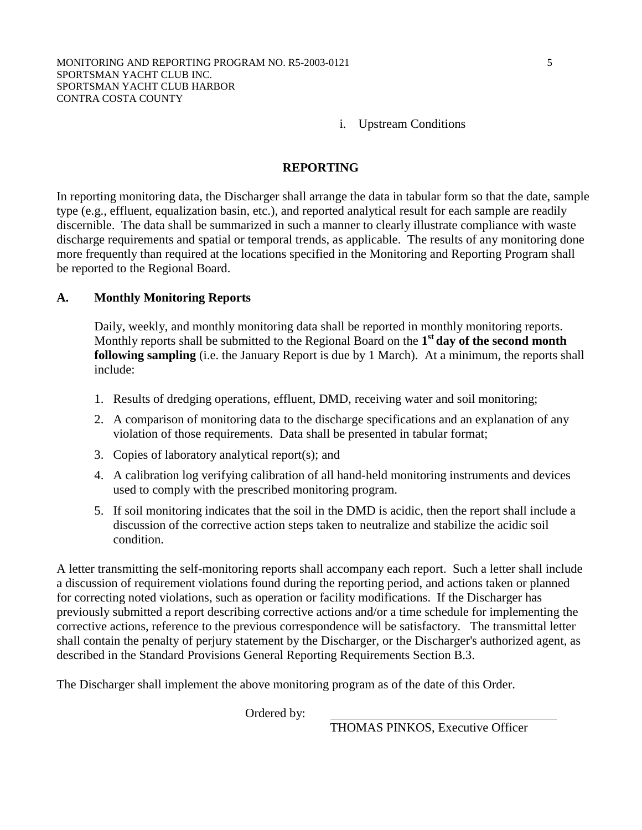i. Upstream Conditions

## **REPORTING**

In reporting monitoring data, the Discharger shall arrange the data in tabular form so that the date, sample type (e.g., effluent, equalization basin, etc.), and reported analytical result for each sample are readily discernible. The data shall be summarized in such a manner to clearly illustrate compliance with waste discharge requirements and spatial or temporal trends, as applicable. The results of any monitoring done more frequently than required at the locations specified in the Monitoring and Reporting Program shall be reported to the Regional Board.

## **A. Monthly Monitoring Reports**

Daily, weekly, and monthly monitoring data shall be reported in monthly monitoring reports. Monthly reports shall be submitted to the Regional Board on the **1st day of the second month following sampling** (i.e. the January Report is due by 1 March). At a minimum, the reports shall include:

- 1. Results of dredging operations, effluent, DMD, receiving water and soil monitoring;
- 2. A comparison of monitoring data to the discharge specifications and an explanation of any violation of those requirements. Data shall be presented in tabular format;
- 3. Copies of laboratory analytical report(s); and
- 4. A calibration log verifying calibration of all hand-held monitoring instruments and devices used to comply with the prescribed monitoring program.
- 5. If soil monitoring indicates that the soil in the DMD is acidic, then the report shall include a discussion of the corrective action steps taken to neutralize and stabilize the acidic soil condition.

A letter transmitting the self-monitoring reports shall accompany each report. Such a letter shall include a discussion of requirement violations found during the reporting period, and actions taken or planned for correcting noted violations, such as operation or facility modifications. If the Discharger has previously submitted a report describing corrective actions and/or a time schedule for implementing the corrective actions, reference to the previous correspondence will be satisfactory. The transmittal letter shall contain the penalty of perjury statement by the Discharger, or the Discharger's authorized agent, as described in the Standard Provisions General Reporting Requirements Section B.3.

The Discharger shall implement the above monitoring program as of the date of this Order.

Ordered by:

THOMAS PINKOS, Executive Officer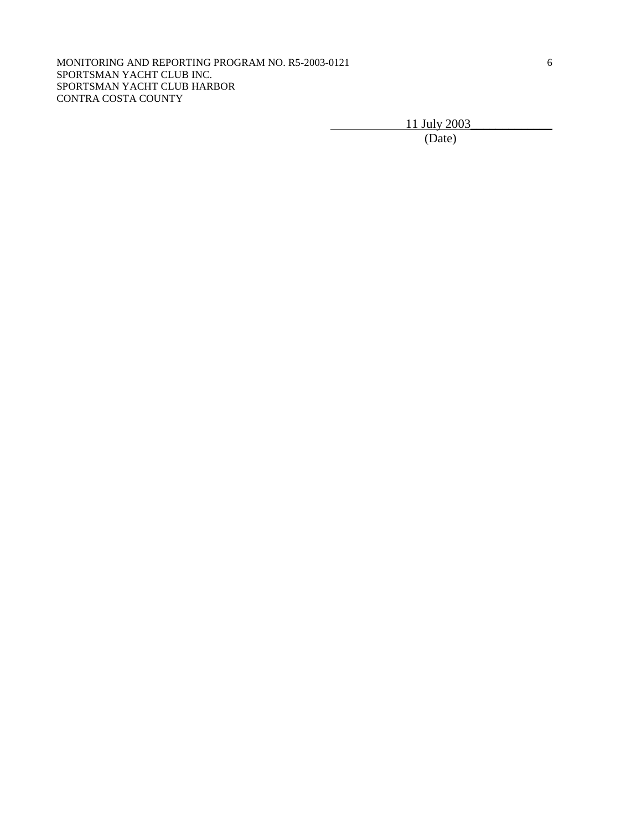11 July 2003<br>(Date)

(Date)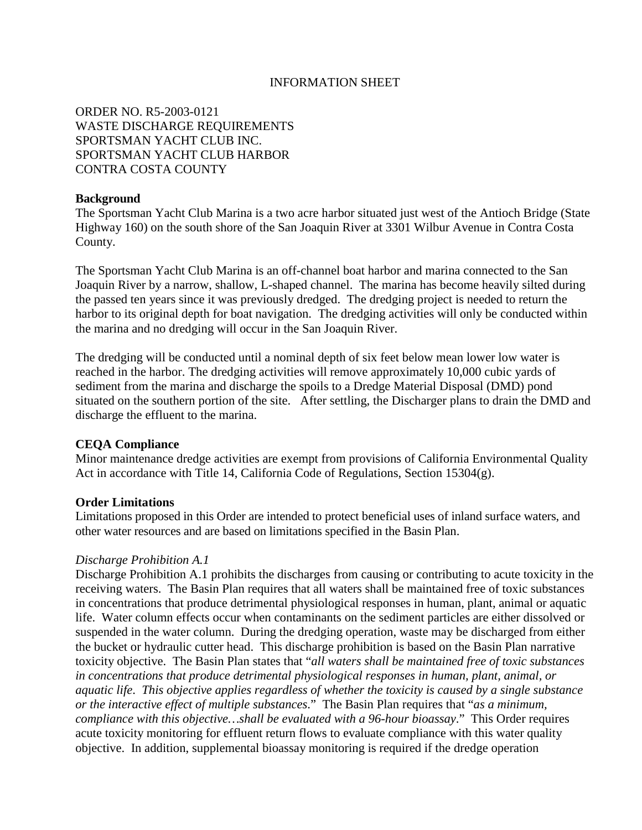## INFORMATION SHEET

ORDER NO. R5-2003-0121 WASTE DISCHARGE REQUIREMENTS SPORTSMAN YACHT CLUB INC. SPORTSMAN YACHT CLUB HARBOR CONTRA COSTA COUNTY

## **Background**

The Sportsman Yacht Club Marina is a two acre harbor situated just west of the Antioch Bridge (State Highway 160) on the south shore of the San Joaquin River at 3301 Wilbur Avenue in Contra Costa County.

The Sportsman Yacht Club Marina is an off-channel boat harbor and marina connected to the San Joaquin River by a narrow, shallow, L-shaped channel. The marina has become heavily silted during the passed ten years since it was previously dredged. The dredging project is needed to return the harbor to its original depth for boat navigation. The dredging activities will only be conducted within the marina and no dredging will occur in the San Joaquin River.

The dredging will be conducted until a nominal depth of six feet below mean lower low water is reached in the harbor. The dredging activities will remove approximately 10,000 cubic yards of sediment from the marina and discharge the spoils to a Dredge Material Disposal (DMD) pond situated on the southern portion of the site. After settling, the Discharger plans to drain the DMD and discharge the effluent to the marina.

## **CEQA Compliance**

Minor maintenance dredge activities are exempt from provisions of California Environmental Quality Act in accordance with Title 14, California Code of Regulations, Section 15304(g).

## **Order Limitations**

Limitations proposed in this Order are intended to protect beneficial uses of inland surface waters, and other water resources and are based on limitations specified in the Basin Plan.

#### *Discharge Prohibition A.1*

Discharge Prohibition A.1 prohibits the discharges from causing or contributing to acute toxicity in the receiving waters. The Basin Plan requires that all waters shall be maintained free of toxic substances in concentrations that produce detrimental physiological responses in human, plant, animal or aquatic life. Water column effects occur when contaminants on the sediment particles are either dissolved or suspended in the water column. During the dredging operation, waste may be discharged from either the bucket or hydraulic cutter head. This discharge prohibition is based on the Basin Plan narrative toxicity objective. The Basin Plan states that "*all waters shall be maintained free of toxic substances in concentrations that produce detrimental physiological responses in human, plant, animal, or aquatic life*. *This objective applies regardless of whether the toxicity is caused by a single substance or the interactive effect of multiple substances*." The Basin Plan requires that "*as a minimum, compliance with this objective…shall be evaluated with a 96-hour bioassay*." This Order requires acute toxicity monitoring for effluent return flows to evaluate compliance with this water quality objective. In addition, supplemental bioassay monitoring is required if the dredge operation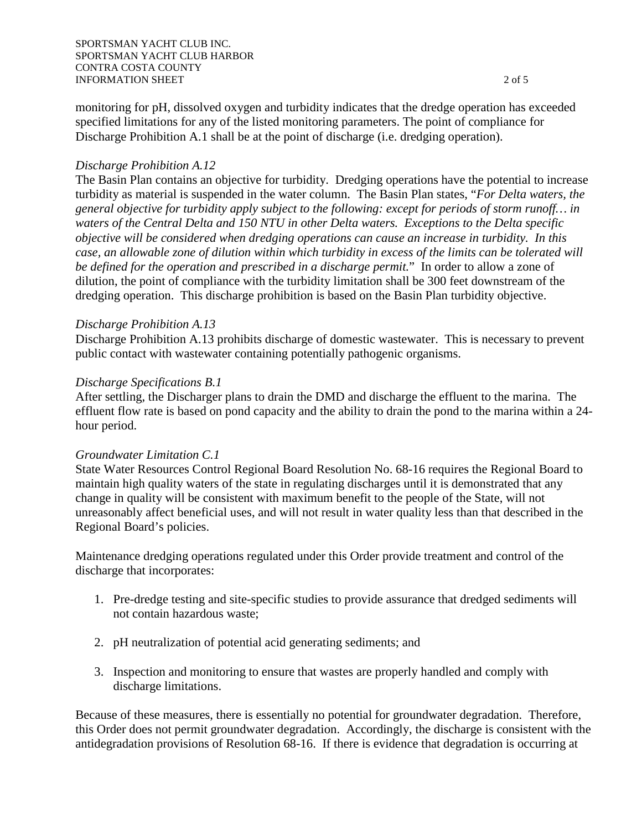monitoring for pH, dissolved oxygen and turbidity indicates that the dredge operation has exceeded specified limitations for any of the listed monitoring parameters. The point of compliance for Discharge Prohibition A.1 shall be at the point of discharge (i.e. dredging operation).

# *Discharge Prohibition A.12*

The Basin Plan contains an objective for turbidity. Dredging operations have the potential to increase turbidity as material is suspended in the water column. The Basin Plan states, "*For Delta waters, the general objective for turbidity apply subject to the following: except for periods of storm runoff… in waters of the Central Delta and 150 NTU in other Delta waters. Exceptions to the Delta specific objective will be considered when dredging operations can cause an increase in turbidity. In this case, an allowable zone of dilution within which turbidity in excess of the limits can be tolerated will be defined for the operation and prescribed in a discharge permit.*" In order to allow a zone of dilution, the point of compliance with the turbidity limitation shall be 300 feet downstream of the dredging operation. This discharge prohibition is based on the Basin Plan turbidity objective.

## *Discharge Prohibition A.13*

Discharge Prohibition A.13 prohibits discharge of domestic wastewater. This is necessary to prevent public contact with wastewater containing potentially pathogenic organisms.

## *Discharge Specifications B.1*

After settling, the Discharger plans to drain the DMD and discharge the effluent to the marina. The effluent flow rate is based on pond capacity and the ability to drain the pond to the marina within a 24 hour period.

## *Groundwater Limitation C.1*

State Water Resources Control Regional Board Resolution No. 68-16 requires the Regional Board to maintain high quality waters of the state in regulating discharges until it is demonstrated that any change in quality will be consistent with maximum benefit to the people of the State, will not unreasonably affect beneficial uses, and will not result in water quality less than that described in the Regional Board's policies.

Maintenance dredging operations regulated under this Order provide treatment and control of the discharge that incorporates:

- 1. Pre-dredge testing and site-specific studies to provide assurance that dredged sediments will not contain hazardous waste;
- 2. pH neutralization of potential acid generating sediments; and
- 3. Inspection and monitoring to ensure that wastes are properly handled and comply with discharge limitations.

Because of these measures, there is essentially no potential for groundwater degradation. Therefore, this Order does not permit groundwater degradation. Accordingly, the discharge is consistent with the antidegradation provisions of Resolution 68-16. If there is evidence that degradation is occurring at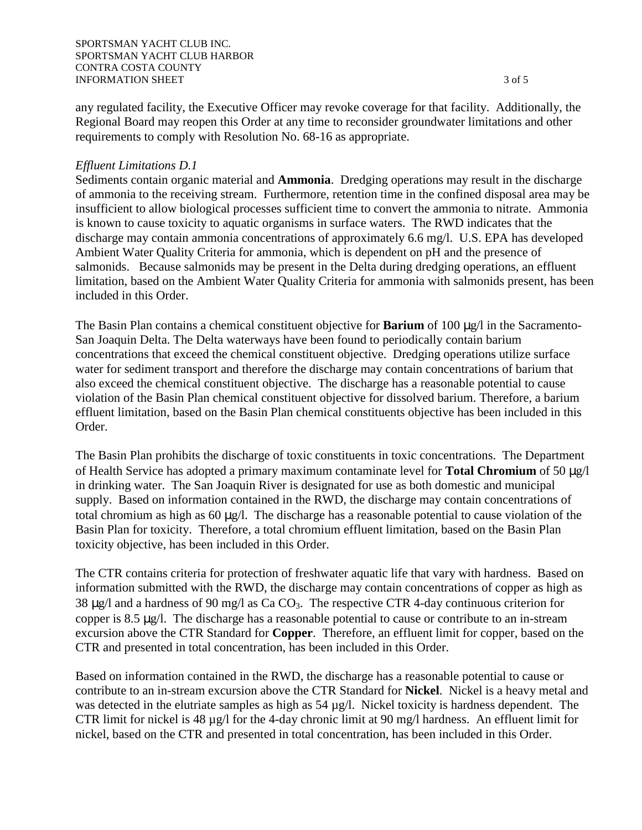#### SPORTSMAN YACHT CLUB INC. SPORTSMAN YACHT CLUB HARBOR CONTRA COSTA COUNTY INFORMATION SHEET 3 of 5

any regulated facility, the Executive Officer may revoke coverage for that facility. Additionally, the Regional Board may reopen this Order at any time to reconsider groundwater limitations and other requirements to comply with Resolution No. 68-16 as appropriate.

## *Effluent Limitations D.1*

Sediments contain organic material and **Ammonia**. Dredging operations may result in the discharge of ammonia to the receiving stream. Furthermore, retention time in the confined disposal area may be insufficient to allow biological processes sufficient time to convert the ammonia to nitrate. Ammonia is known to cause toxicity to aquatic organisms in surface waters. The RWD indicates that the discharge may contain ammonia concentrations of approximately 6.6 mg/l. U.S. EPA has developed Ambient Water Quality Criteria for ammonia, which is dependent on pH and the presence of salmonids. Because salmonids may be present in the Delta during dredging operations, an effluent limitation, based on the Ambient Water Quality Criteria for ammonia with salmonids present, has been included in this Order.

The Basin Plan contains a chemical constituent objective for **Barium** of 100  $\mu$ g/l in the Sacramento-San Joaquin Delta. The Delta waterways have been found to periodically contain barium concentrations that exceed the chemical constituent objective. Dredging operations utilize surface water for sediment transport and therefore the discharge may contain concentrations of barium that also exceed the chemical constituent objective. The discharge has a reasonable potential to cause violation of the Basin Plan chemical constituent objective for dissolved barium. Therefore, a barium effluent limitation, based on the Basin Plan chemical constituents objective has been included in this Order.

The Basin Plan prohibits the discharge of toxic constituents in toxic concentrations. The Department of Health Service has adopted a primary maximum contaminate level for **Total Chromium** of 50 µg/l in drinking water. The San Joaquin River is designated for use as both domestic and municipal supply. Based on information contained in the RWD, the discharge may contain concentrations of total chromium as high as 60 µg/l. The discharge has a reasonable potential to cause violation of the Basin Plan for toxicity. Therefore, a total chromium effluent limitation, based on the Basin Plan toxicity objective, has been included in this Order.

The CTR contains criteria for protection of freshwater aquatic life that vary with hardness. Based on information submitted with the RWD, the discharge may contain concentrations of copper as high as 38  $\mu$ g/l and a hardness of 90 mg/l as Ca CO<sub>3</sub>. The respective CTR 4-day continuous criterion for copper is 8.5 µg/l. The discharge has a reasonable potential to cause or contribute to an in-stream excursion above the CTR Standard for **Copper**. Therefore, an effluent limit for copper, based on the CTR and presented in total concentration, has been included in this Order.

Based on information contained in the RWD, the discharge has a reasonable potential to cause or contribute to an in-stream excursion above the CTR Standard for **Nickel**. Nickel is a heavy metal and was detected in the elutriate samples as high as 54 µg/l. Nickel toxicity is hardness dependent. The CTR limit for nickel is 48 µg/l for the 4-day chronic limit at 90 mg/l hardness. An effluent limit for nickel, based on the CTR and presented in total concentration, has been included in this Order.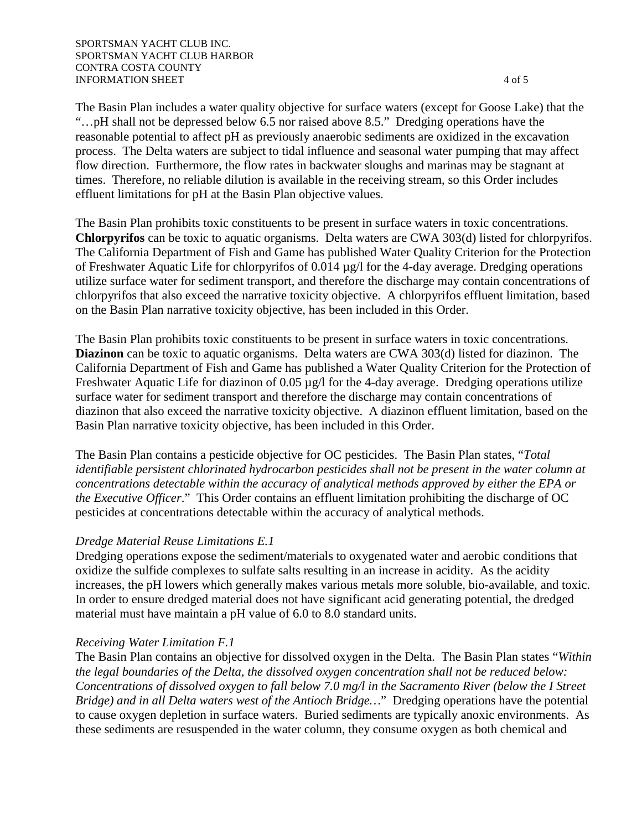The Basin Plan includes a water quality objective for surface waters (except for Goose Lake) that the "…pH shall not be depressed below 6.5 nor raised above 8.5." Dredging operations have the reasonable potential to affect pH as previously anaerobic sediments are oxidized in the excavation process. The Delta waters are subject to tidal influence and seasonal water pumping that may affect flow direction. Furthermore, the flow rates in backwater sloughs and marinas may be stagnant at times. Therefore, no reliable dilution is available in the receiving stream, so this Order includes effluent limitations for pH at the Basin Plan objective values.

The Basin Plan prohibits toxic constituents to be present in surface waters in toxic concentrations. **Chlorpyrifos** can be toxic to aquatic organisms. Delta waters are CWA 303(d) listed for chlorpyrifos. The California Department of Fish and Game has published Water Quality Criterion for the Protection of Freshwater Aquatic Life for chlorpyrifos of 0.014 µg/l for the 4-day average. Dredging operations utilize surface water for sediment transport, and therefore the discharge may contain concentrations of chlorpyrifos that also exceed the narrative toxicity objective. A chlorpyrifos effluent limitation, based on the Basin Plan narrative toxicity objective, has been included in this Order.

The Basin Plan prohibits toxic constituents to be present in surface waters in toxic concentrations. **Diazinon** can be toxic to aquatic organisms. Delta waters are CWA 303(d) listed for diazinon. The California Department of Fish and Game has published a Water Quality Criterion for the Protection of Freshwater Aquatic Life for diazinon of 0.05 µg/l for the 4-day average. Dredging operations utilize surface water for sediment transport and therefore the discharge may contain concentrations of diazinon that also exceed the narrative toxicity objective. A diazinon effluent limitation, based on the Basin Plan narrative toxicity objective, has been included in this Order.

The Basin Plan contains a pesticide objective for OC pesticides. The Basin Plan states, "*Total identifiable persistent chlorinated hydrocarbon pesticides shall not be present in the water column at concentrations detectable within the accuracy of analytical methods approved by either the EPA or the Executive Officer*." This Order contains an effluent limitation prohibiting the discharge of OC pesticides at concentrations detectable within the accuracy of analytical methods.

## *Dredge Material Reuse Limitations E.1*

Dredging operations expose the sediment/materials to oxygenated water and aerobic conditions that oxidize the sulfide complexes to sulfate salts resulting in an increase in acidity. As the acidity increases, the pH lowers which generally makes various metals more soluble, bio-available, and toxic. In order to ensure dredged material does not have significant acid generating potential, the dredged material must have maintain a pH value of 6.0 to 8.0 standard units.

## *Receiving Water Limitation F.1*

The Basin Plan contains an objective for dissolved oxygen in the Delta. The Basin Plan states "*Within the legal boundaries of the Delta, the dissolved oxygen concentration shall not be reduced below: Concentrations of dissolved oxygen to fall below 7.0 mg/l in the Sacramento River (below the I Street Bridge) and in all Delta waters west of the Antioch Bridge…*" Dredging operations have the potential to cause oxygen depletion in surface waters. Buried sediments are typically anoxic environments. As these sediments are resuspended in the water column, they consume oxygen as both chemical and